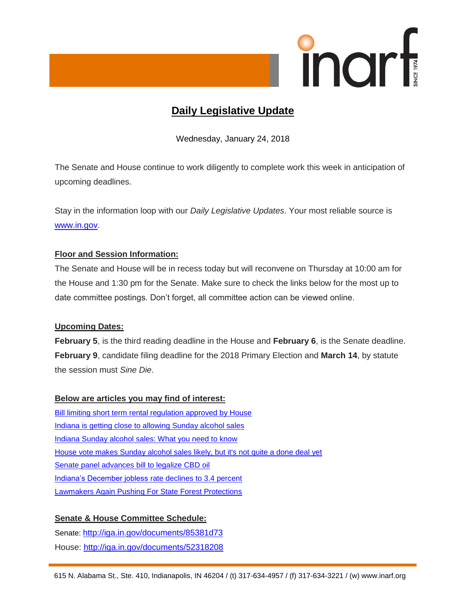

# **Daily Legislative Update**

Wednesday, January 24, 2018

The Senate and House continue to work diligently to complete work this week in anticipation of upcoming deadlines.

Stay in the information loop with our *Daily Legislative Updates*. Your most reliable source is [www.in.gov.](http://www.in.gov/)

## **Floor and Session Information:**

The Senate and House will be in recess today but will reconvene on Thursday at 10:00 am for the House and 1:30 pm for the Senate. Make sure to check the links below for the most up to date committee postings. Don't forget, all committee action can be viewed online.

#### **Upcoming Dates:**

**February 5**, is the third reading deadline in the House and **February 6**, is the Senate deadline. **February 9**, candidate filing deadline for the 2018 Primary Election and **March 14**, by statute the session must *Sine Die*.

#### **Below are articles you may find of interest:**

[Bill limiting short term rental regulation approved by House](http://www.therepublic.com/2018/01/22/in-xgr-short-term-rentals/) [Indiana is getting close to allowing Sunday alcohol sales](https://www.wthr.com/article/indiana-is-getting-close-to-allowing-sunday-alcohol-sales) [Indiana Sunday alcohol sales: What you need to know](https://www.indystar.com/story/news/2018/01/23/indiana-sunday-alcohol-sales-what-you-need-know/1057765001/) [House vote makes Sunday alcohol sales likely, but it's not quite a done deal yet](https://www.indystar.com/story/news/politics/2018/01/23/house-and-senate-have-both-approved-sunday-alcohol-sales-clearing-path-legalization-but-its-not-quit/1058334001/) [Senate panel advances bill to legalize CBD oil](https://www.indystar.com/story/news/politics/2018/01/23/senate-panel-advances-bill-legalize-cbd-oil/1057471001/) [Indiana's December jobless](http://www.therepublic.com/2018/01/23/in-indiana-unemployment/) rate declines to 3.4 percent [Lawmakers Again Pushing For State Forest Protections](http://indianapublicmedia.org/news/lawmakers-pushing-state-forest-protections-138459/)

## **Senate & House Committee Schedule:**

Senate: <http://iga.in.gov/documents/85381d73> House:<http://iga.in.gov/documents/52318208>